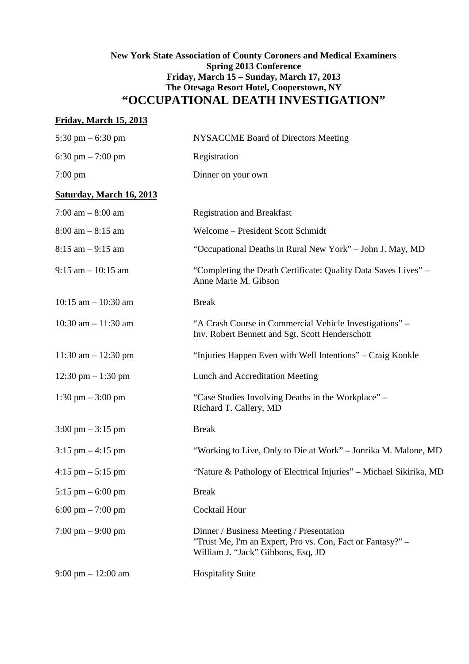# **New York State Association of County Coroners and Medical Examiners Spring 2013 Conference Friday, March 15 – Sunday, March 17, 2013 The Otesaga Resort Hotel, Cooperstown, NY "OCCUPATIONAL DEATH INVESTIGATION"**

# **Friday, March 15, 2013**

| 5:30 pm $-$ 6:30 pm                  | <b>NYSACCME Board of Directors Meeting</b>                                                                                                   |
|--------------------------------------|----------------------------------------------------------------------------------------------------------------------------------------------|
| 6:30 pm $- 7:00$ pm                  | Registration                                                                                                                                 |
| $7:00 \text{ pm}$                    | Dinner on your own                                                                                                                           |
| <b>Saturday, March 16, 2013</b>      |                                                                                                                                              |
| $7:00$ am $-8:00$ am                 | <b>Registration and Breakfast</b>                                                                                                            |
| $8:00$ am $-8:15$ am                 | Welcome - President Scott Schmidt                                                                                                            |
| $8:15$ am $-9:15$ am                 | "Occupational Deaths in Rural New York" - John J. May, MD                                                                                    |
| $9:15$ am $-10:15$ am                | "Completing the Death Certificate: Quality Data Saves Lives" –<br>Anne Marie M. Gibson                                                       |
| $10:15$ am $-10:30$ am               | <b>Break</b>                                                                                                                                 |
| 10:30 am $- 11:30$ am                | "A Crash Course in Commercial Vehicle Investigations" –<br>Inv. Robert Bennett and Sgt. Scott Henderschott                                   |
| $11:30$ am $- 12:30$ pm              | "Injuries Happen Even with Well Intentions" – Craig Konkle                                                                                   |
| 12:30 pm $- 1:30$ pm                 | Lunch and Accreditation Meeting                                                                                                              |
| $1:30 \text{ pm} - 3:00 \text{ pm}$  | "Case Studies Involving Deaths in the Workplace" –<br>Richard T. Callery, MD                                                                 |
| $3:00 \text{ pm} - 3:15 \text{ pm}$  | <b>Break</b>                                                                                                                                 |
| $3:15$ pm $-4:15$ pm                 | "Working to Live, Only to Die at Work" – Jonrika M. Malone, MD                                                                               |
| $4:15 \text{ pm} - 5:15 \text{ pm}$  | "Nature & Pathology of Electrical Injuries" - Michael Sikirika, MD                                                                           |
| $5:15$ pm $-6:00$ pm                 | <b>Break</b>                                                                                                                                 |
| 6:00 pm $- 7:00$ pm                  | <b>Cocktail Hour</b>                                                                                                                         |
| $7:00 \text{ pm} - 9:00 \text{ pm}$  | Dinner / Business Meeting / Presentation<br>"Trust Me, I'm an Expert, Pro vs. Con, Fact or Fantasy?" -<br>William J. "Jack" Gibbons, Esq, JD |
| $9:00 \text{ pm} - 12:00 \text{ am}$ | <b>Hospitality Suite</b>                                                                                                                     |
|                                      |                                                                                                                                              |